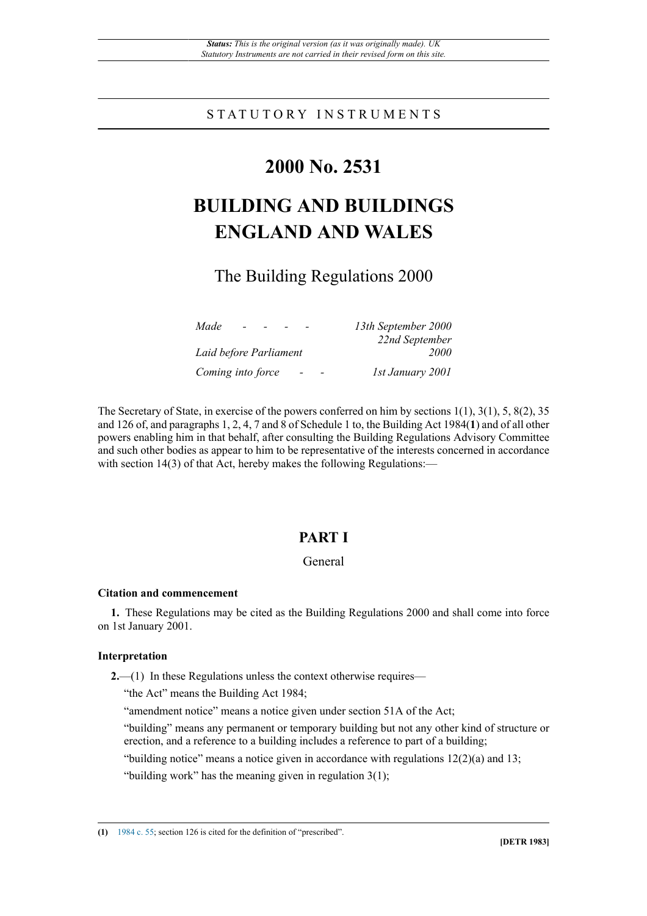## S T A T U T O R Y I N S T R U M E N T S

# **2000 No. 2531**

# **BUILDING AND BUILDINGS ENGLAND AND WALES**

# The Building Regulations 2000

| Made<br>$\overline{\phantom{0}}$ | 13th September 2000 |
|----------------------------------|---------------------|
|                                  | 22nd September      |
| Laid before Parliament           | 2000                |
| Coming into force                | 1st January 2001    |

The Secretary of State, in exercise of the powers conferred on him by sections 1(1), 3(1), 5, 8(2), 35 and 126 of, and paragraphs 1, 2, 4, 7 and 8 of Schedule 1 to, the Building Act 1984(**1**) and of all other powers enabling him in that behalf, after consulting the Building Regulations Advisory Committee and such other bodies as appear to him to be representative of the interests concerned in accordance with section 14(3) of that Act, hereby makes the following Regulations:—

## **PART I**

## General

#### **Citation and commencement**

**1.** These Regulations may be cited as the Building Regulations 2000 and shall come into force on 1st January 2001.

## **Interpretation**

**2.**—(1) In these Regulations unless the context otherwise requires—

"the Act" means the Building Act 1984;

"amendment notice" means a notice given under section 51A of the Act;

"building" means any permanent or temporary building but not any other kind of structure or erection, and a reference to a building includes a reference to part of a building;

"building notice" means a notice given in accordance with regulations  $12(2)(a)$  and  $13$ ;

"building work" has the meaning given in regulation 3(1);

**(1)** [1984 c. 55;](http://www.legislation.gov.uk/id/ukpga/1984/55) section 126 is cited for the definition of "prescribed".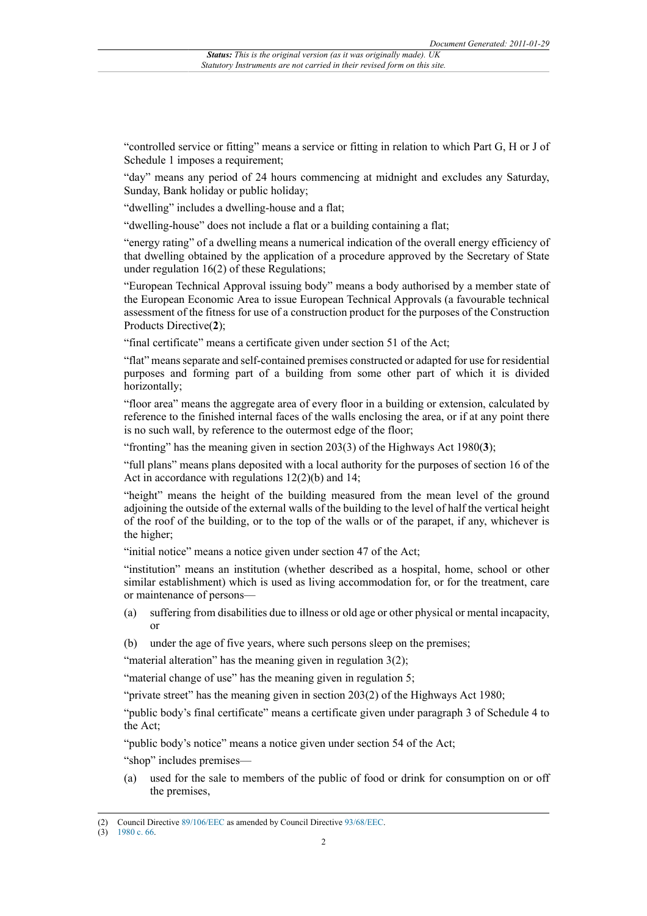"controlled service or fitting" means a service or fitting in relation to which Part G, H or J of Schedule 1 imposes a requirement;

"day" means any period of 24 hours commencing at midnight and excludes any Saturday, Sunday, Bank holiday or public holiday;

"dwelling" includes a dwelling-house and a flat;

"dwelling-house" does not include a flat or a building containing a flat;

"energy rating" of a dwelling means a numerical indication of the overall energy efficiency of that dwelling obtained by the application of a procedure approved by the Secretary of State under regulation 16(2) of these Regulations;

"European Technical Approval issuing body" means a body authorised by a member state of the European Economic Area to issue European Technical Approvals (a favourable technical assessment of the fitness for use of a construction product for the purposes of the Construction Products Directive(**2**);

"final certificate" means a certificate given under section 51 of the Act;

"flat" means separate and self-contained premises constructed or adapted for use for residential purposes and forming part of a building from some other part of which it is divided horizontally;

"floor area" means the aggregate area of every floor in a building or extension, calculated by reference to the finished internal faces of the walls enclosing the area, or if at any point there is no such wall, by reference to the outermost edge of the floor;

"fronting" has the meaning given in section 203(3) of the Highways Act 1980(**3**);

"full plans" means plans deposited with a local authority for the purposes of section 16 of the Act in accordance with regulations 12(2)(b) and 14;

"height" means the height of the building measured from the mean level of the ground adjoining the outside of the external walls of the building to the level of half the vertical height of the roof of the building, or to the top of the walls or of the parapet, if any, whichever is the higher;

"initial notice" means a notice given under section 47 of the Act;

"institution" means an institution (whether described as a hospital, home, school or other similar establishment) which is used as living accommodation for, or for the treatment, care or maintenance of persons—

- (a) suffering from disabilities due to illness or old age or other physical or mental incapacity, or
- (b) under the age of five years, where such persons sleep on the premises;

"material alteration" has the meaning given in regulation  $3(2)$ ;

"material change of use" has the meaning given in regulation 5;

"private street" has the meaning given in section 203(2) of the Highways Act 1980;

"public body's final certificate" means a certificate given under paragraph 3 of Schedule 4 to the Act;

"public body's notice" means a notice given under section 54 of the Act;

"shop" includes premises—

(a) used for the sale to members of the public of food or drink for consumption on or off the premises,

<sup>(2)</sup> Council Directive [89/106/EEC](http://www.opsi.gov.uk/legislation/european/directive/1989/0106) as amended by Council Directive [93/68/EEC.](http://www.opsi.gov.uk/legislation/european/directive/1993/0068)

<sup>(3)</sup> [1980 c. 66.](http://www.legislation.gov.uk/id/ukpga/1980/66)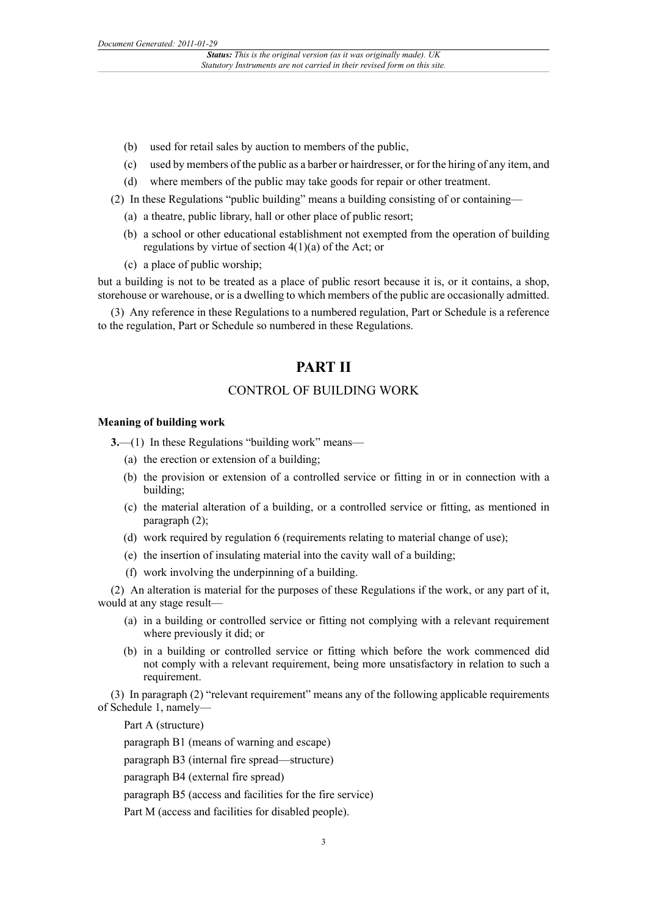- (b) used for retail sales by auction to members of the public,
- (c) used by members of the public as a barber or hairdresser, or for the hiring of any item, and
- (d) where members of the public may take goods for repair or other treatment.
- (2) In these Regulations "public building" means a building consisting of or containing—
	- (a) a theatre, public library, hall or other place of public resort;
	- (b) a school or other educational establishment not exempted from the operation of building regulations by virtue of section 4(1)(a) of the Act; or
	- (c) a place of public worship;

but a building is not to be treated as a place of public resort because it is, or it contains, a shop, storehouse or warehouse, or is a dwelling to which members of the public are occasionally admitted.

(3) Any reference in these Regulations to a numbered regulation, Part or Schedule is a reference to the regulation, Part or Schedule so numbered in these Regulations.

## **PART II**

## CONTROL OF BUILDING WORK

### **Meaning of building work**

**3.**—(1) In these Regulations "building work" means—

- (a) the erection or extension of a building;
- (b) the provision or extension of a controlled service or fitting in or in connection with a building;
- (c) the material alteration of a building, or a controlled service or fitting, as mentioned in paragraph (2);
- (d) work required by regulation 6 (requirements relating to material change of use);
- (e) the insertion of insulating material into the cavity wall of a building;
- (f) work involving the underpinning of a building.

(2) An alteration is material for the purposes of these Regulations if the work, or any part of it, would at any stage result—

- (a) in a building or controlled service or fitting not complying with a relevant requirement where previously it did; or
- (b) in a building or controlled service or fitting which before the work commenced did not comply with a relevant requirement, being more unsatisfactory in relation to such a requirement.

(3) In paragraph (2) "relevant requirement" means any of the following applicable requirements of Schedule 1, namely—

Part A (structure)

paragraph B1 (means of warning and escape)

paragraph B3 (internal fire spread—structure)

paragraph B4 (external fire spread)

paragraph B5 (access and facilities for the fire service)

Part M (access and facilities for disabled people).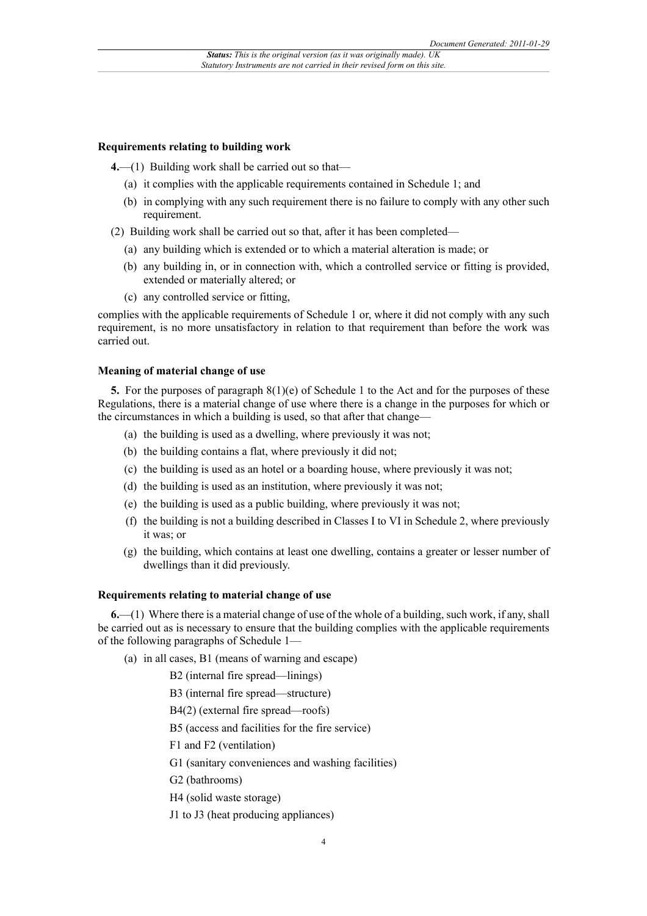#### **Requirements relating to building work**

**4.**—(1) Building work shall be carried out so that—

- (a) it complies with the applicable requirements contained in Schedule 1; and
- (b) in complying with any such requirement there is no failure to comply with any other such requirement.

(2) Building work shall be carried out so that, after it has been completed—

- (a) any building which is extended or to which a material alteration is made; or
- (b) any building in, or in connection with, which a controlled service or fitting is provided, extended or materially altered; or
- (c) any controlled service or fitting,

complies with the applicable requirements of Schedule 1 or, where it did not comply with any such requirement, is no more unsatisfactory in relation to that requirement than before the work was carried out.

#### **Meaning of material change of use**

**5.** For the purposes of paragraph 8(1)(e) of Schedule 1 to the Act and for the purposes of these Regulations, there is a material change of use where there is a change in the purposes for which or the circumstances in which a building is used, so that after that change—

- (a) the building is used as a dwelling, where previously it was not;
- (b) the building contains a flat, where previously it did not;
- (c) the building is used as an hotel or a boarding house, where previously it was not;
- (d) the building is used as an institution, where previously it was not;
- (e) the building is used as a public building, where previously it was not;
- (f) the building is not a building described in Classes I to VI in Schedule 2, where previously it was; or
- (g) the building, which contains at least one dwelling, contains a greater or lesser number of dwellings than it did previously.

#### **Requirements relating to material change of use**

**6.**—(1) Where there is a material change of use of the whole of a building, such work, if any, shall be carried out as is necessary to ensure that the building complies with the applicable requirements of the following paragraphs of Schedule 1—

(a) in all cases, B1 (means of warning and escape)

B2 (internal fire spread—linings)

B3 (internal fire spread—structure)

B4(2) (external fire spread—roofs)

B5 (access and facilities for the fire service)

F1 and F2 (ventilation)

G1 (sanitary conveniences and washing facilities)

G2 (bathrooms)

H4 (solid waste storage)

J1 to J3 (heat producing appliances)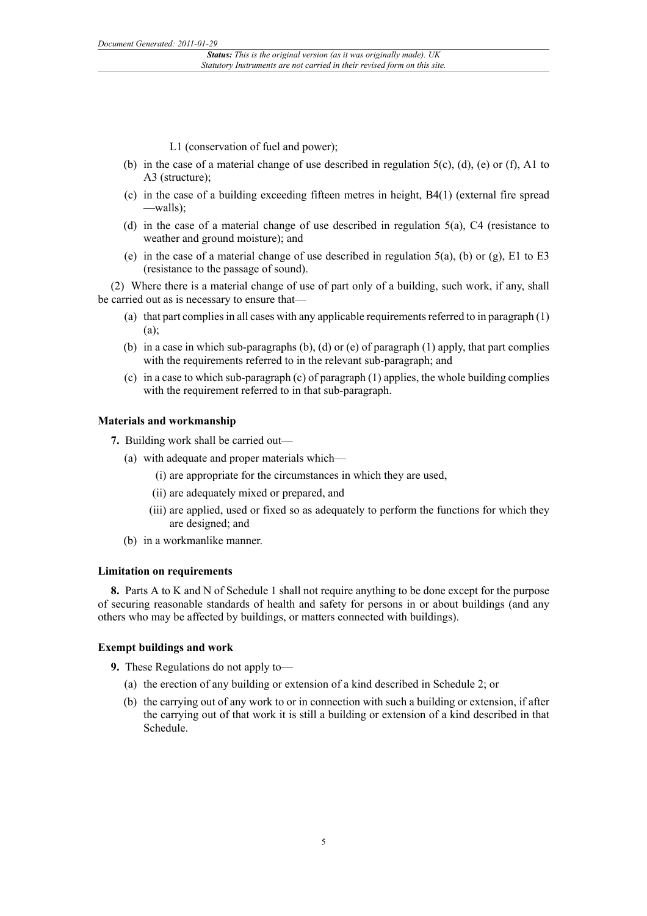L1 (conservation of fuel and power);

- (b) in the case of a material change of use described in regulation 5(c), (d), (e) or (f), A1 to A3 (structure);
- (c) in the case of a building exceeding fifteen metres in height, B4(1) (external fire spread —walls);
- (d) in the case of a material change of use described in regulation 5(a), C4 (resistance to weather and ground moisture); and
- (e) in the case of a material change of use described in regulation  $5(a)$ , (b) or (g), E1 to E3 (resistance to the passage of sound).

(2) Where there is a material change of use of part only of a building, such work, if any, shall be carried out as is necessary to ensure that—

- (a) that part complies in all cases with any applicable requirements referred to in paragraph (1) (a);
- (b) in a case in which sub-paragraphs (b), (d) or (e) of paragraph  $(1)$  apply, that part complies with the requirements referred to in the relevant sub-paragraph; and
- (c) in a case to which sub-paragraph (c) of paragraph (1) applies, the whole building complies with the requirement referred to in that sub-paragraph.

#### **Materials and workmanship**

**7.** Building work shall be carried out—

- (a) with adequate and proper materials which—
	- (i) are appropriate for the circumstances in which they are used,
	- (ii) are adequately mixed or prepared, and
	- (iii) are applied, used or fixed so as adequately to perform the functions for which they are designed; and
- (b) in a workmanlike manner.

#### **Limitation on requirements**

**8.** Parts A to K and N of Schedule 1 shall not require anything to be done except for the purpose of securing reasonable standards of health and safety for persons in or about buildings (and any others who may be affected by buildings, or matters connected with buildings).

#### **Exempt buildings and work**

**9.** These Regulations do not apply to—

- (a) the erection of any building or extension of a kind described in Schedule 2; or
- (b) the carrying out of any work to or in connection with such a building or extension, if after the carrying out of that work it is still a building or extension of a kind described in that Schedule.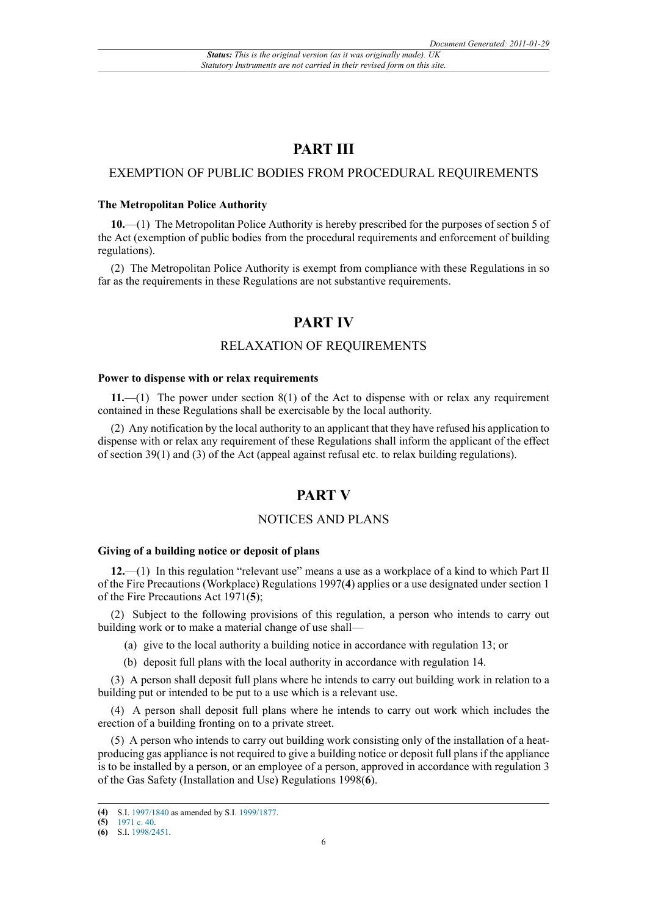## **PART III**

## EXEMPTION OF PUBLIC BODIES FROM PROCEDURAL REQUIREMENTS

#### **The Metropolitan Police Authority**

**10.**—(1) The Metropolitan Police Authority is hereby prescribed for the purposes of section 5 of the Act (exemption of public bodies from the procedural requirements and enforcement of building regulations).

(2) The Metropolitan Police Authority is exempt from compliance with these Regulations in so far as the requirements in these Regulations are not substantive requirements.

## **PART IV**

## RELAXATION OF REQUIREMENTS

#### **Power to dispense with or relax requirements**

**11.**—(1) The power under section 8(1) of the Act to dispense with or relax any requirement contained in these Regulations shall be exercisable by the local authority.

(2) Any notification by the local authority to an applicant that they have refused his application to dispense with or relax any requirement of these Regulations shall inform the applicant of the effect of section 39(1) and (3) of the Act (appeal against refusal etc. to relax building regulations).

## **PART V**

## NOTICES AND PLANS

#### **Giving of a building notice or deposit of plans**

**12.**—(1) In this regulation "relevant use" means a use as a workplace of a kind to which Part II of the Fire Precautions (Workplace) Regulations 1997(**4**) applies or a use designated under section 1 of the Fire Precautions Act 1971(**5**);

(2) Subject to the following provisions of this regulation, a person who intends to carry out building work or to make a material change of use shall—

- (a) give to the local authority a building notice in accordance with regulation 13; or
- (b) deposit full plans with the local authority in accordance with regulation 14.

(3) A person shall deposit full plans where he intends to carry out building work in relation to a building put or intended to be put to a use which is a relevant use.

(4) A person shall deposit full plans where he intends to carry out work which includes the erection of a building fronting on to a private street.

(5) A person who intends to carry out building work consisting only of the installation of a heatproducing gas appliance is not required to give a building notice or deposit full plans if the appliance is to be installed by a person, or an employee of a person, approved in accordance with regulation 3 of the Gas Safety (Installation and Use) Regulations 1998(**6**).

**<sup>(4)</sup>** S.I. [1997/1840](http://www.legislation.gov.uk/id/uksi/1997/1840) as amended by S.I. [1999/1877](http://www.legislation.gov.uk/id/uksi/1999/1877).

**<sup>(5)</sup>** [1971 c. 40.](http://www.legislation.gov.uk/id/ukpga/1971/40) **(6)** S.I. [1998/2451](http://www.legislation.gov.uk/id/uksi/1998/2451).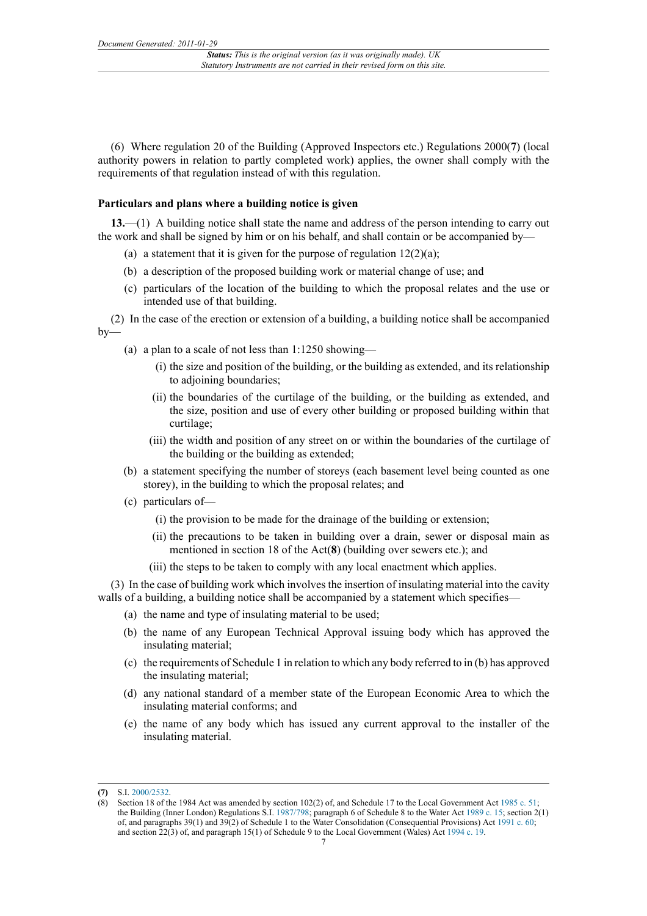(6) Where regulation 20 of the Building (Approved Inspectors etc.) Regulations 2000(**7**) (local authority powers in relation to partly completed work) applies, the owner shall comply with the requirements of that regulation instead of with this regulation.

#### **Particulars and plans where a building notice is given**

**13.**—(1) A building notice shall state the name and address of the person intending to carry out the work and shall be signed by him or on his behalf, and shall contain or be accompanied by—

- (a) a statement that it is given for the purpose of regulation  $12(2)(a)$ ;
- (b) a description of the proposed building work or material change of use; and
- (c) particulars of the location of the building to which the proposal relates and the use or intended use of that building.

(2) In the case of the erection or extension of a building, a building notice shall be accompanied by—

- (a) a plan to a scale of not less than 1:1250 showing—
	- (i) the size and position of the building, or the building as extended, and its relationship to adjoining boundaries;
	- (ii) the boundaries of the curtilage of the building, or the building as extended, and the size, position and use of every other building or proposed building within that curtilage;
	- (iii) the width and position of any street on or within the boundaries of the curtilage of the building or the building as extended;
- (b) a statement specifying the number of storeys (each basement level being counted as one storey), in the building to which the proposal relates; and
- (c) particulars of—
	- (i) the provision to be made for the drainage of the building or extension;
	- (ii) the precautions to be taken in building over a drain, sewer or disposal main as mentioned in section 18 of the Act(**8**) (building over sewers etc.); and
	- (iii) the steps to be taken to comply with any local enactment which applies.

(3) In the case of building work which involves the insertion of insulating material into the cavity walls of a building, a building notice shall be accompanied by a statement which specifies—

- (a) the name and type of insulating material to be used;
- (b) the name of any European Technical Approval issuing body which has approved the insulating material;
- (c) the requirements of Schedule 1 in relation to which any body referred to in (b) has approved the insulating material;
- (d) any national standard of a member state of the European Economic Area to which the insulating material conforms; and
- (e) the name of any body which has issued any current approval to the installer of the insulating material.

**<sup>(7)</sup>** S.I. [2000/2532](http://www.legislation.gov.uk/id/uksi/2000/2532).

<sup>(8)</sup> Section 18 of the 1984 Act was amended by section 102(2) of, and Schedule 17 to the Local Government Act [1985 c. 51;](http://www.legislation.gov.uk/id/ukpga/1985/51) the Building (Inner London) Regulations S.I. [1987/798](http://www.legislation.gov.uk/id/uksi/1987/798); paragraph 6 of Schedule 8 to the Water Act [1989 c. 15](http://www.legislation.gov.uk/id/ukpga/1989/15); section 2(1) of, and paragraphs 39(1) and 39(2) of Schedule 1 to the Water Consolidation (Consequential Provisions) Act [1991 c. 60](http://www.legislation.gov.uk/id/ukpga/1991/60); and section 22(3) of, and paragraph 15(1) of Schedule 9 to the Local Government (Wales) Act [1994 c. 19.](http://www.legislation.gov.uk/id/ukpga/1994/19)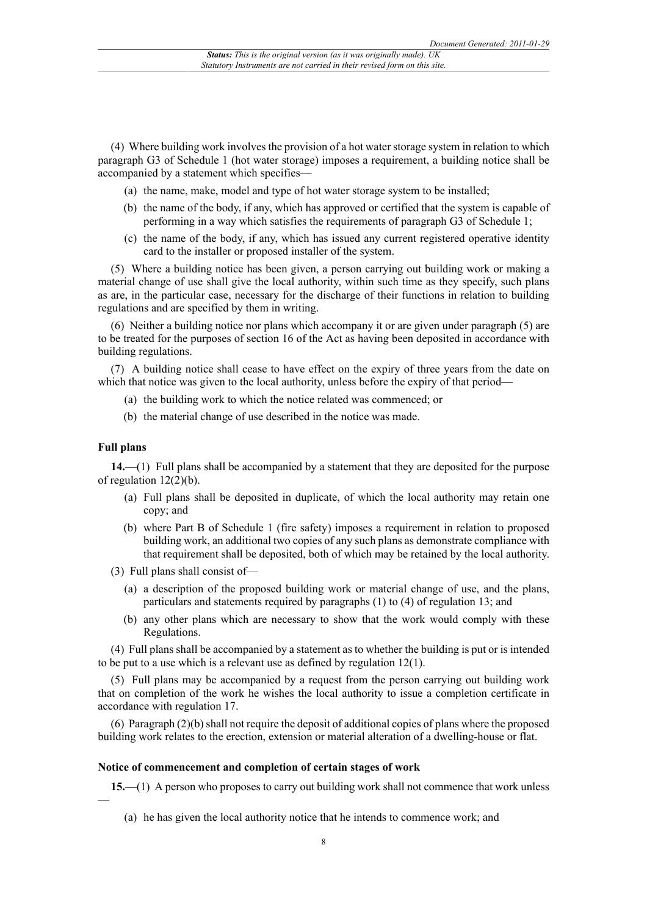(4) Where building work involves the provision of a hot water storage system in relation to which paragraph G3 of Schedule 1 (hot water storage) imposes a requirement, a building notice shall be accompanied by a statement which specifies—

- (a) the name, make, model and type of hot water storage system to be installed;
- (b) the name of the body, if any, which has approved or certified that the system is capable of performing in a way which satisfies the requirements of paragraph G3 of Schedule 1;
- (c) the name of the body, if any, which has issued any current registered operative identity card to the installer or proposed installer of the system.

(5) Where a building notice has been given, a person carrying out building work or making a material change of use shall give the local authority, within such time as they specify, such plans as are, in the particular case, necessary for the discharge of their functions in relation to building regulations and are specified by them in writing.

(6) Neither a building notice nor plans which accompany it or are given under paragraph (5) are to be treated for the purposes of section 16 of the Act as having been deposited in accordance with building regulations.

(7) A building notice shall cease to have effect on the expiry of three years from the date on which that notice was given to the local authority, unless before the expiry of that period—

- (a) the building work to which the notice related was commenced; or
- (b) the material change of use described in the notice was made.

#### **Full plans**

—

**14.**—(1) Full plans shall be accompanied by a statement that they are deposited for the purpose of regulation 12(2)(b).

- (a) Full plans shall be deposited in duplicate, of which the local authority may retain one copy; and
- (b) where Part B of Schedule 1 (fire safety) imposes a requirement in relation to proposed building work, an additional two copies of any such plans as demonstrate compliance with that requirement shall be deposited, both of which may be retained by the local authority.
- (3) Full plans shall consist of—
	- (a) a description of the proposed building work or material change of use, and the plans, particulars and statements required by paragraphs (1) to (4) of regulation 13; and
	- (b) any other plans which are necessary to show that the work would comply with these Regulations.

(4) Full plans shall be accompanied by a statement as to whether the building is put or is intended to be put to a use which is a relevant use as defined by regulation 12(1).

(5) Full plans may be accompanied by a request from the person carrying out building work that on completion of the work he wishes the local authority to issue a completion certificate in accordance with regulation 17.

(6) Paragraph (2)(b) shall not require the deposit of additional copies of plans where the proposed building work relates to the erection, extension or material alteration of a dwelling-house or flat.

#### **Notice of commencement and completion of certain stages of work**

**15.**—(1) A person who proposes to carry out building work shall not commence that work unless

(a) he has given the local authority notice that he intends to commence work; and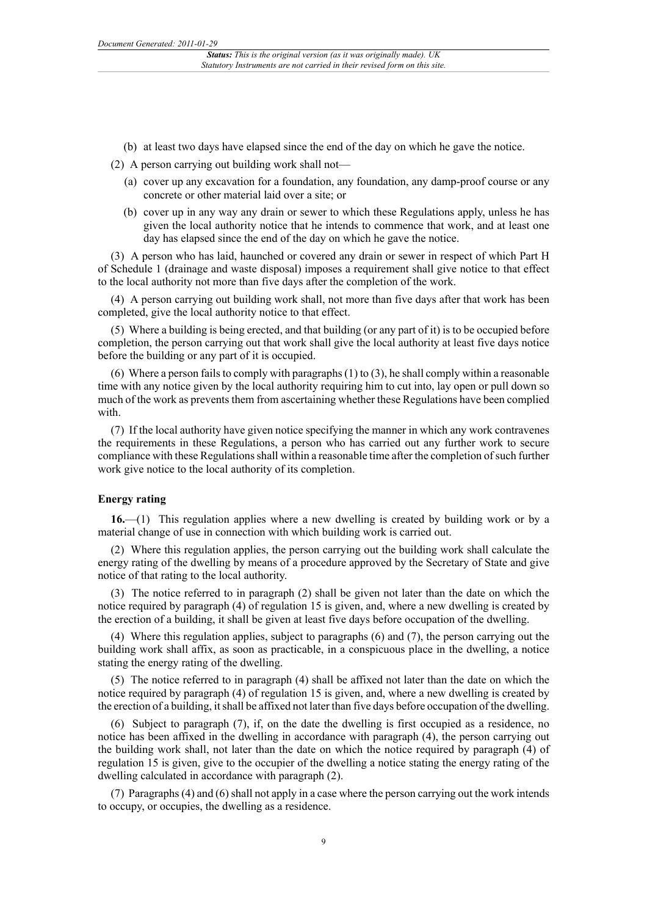- (b) at least two days have elapsed since the end of the day on which he gave the notice.
- (2) A person carrying out building work shall not—
	- (a) cover up any excavation for a foundation, any foundation, any damp-proof course or any concrete or other material laid over a site; or
	- (b) cover up in any way any drain or sewer to which these Regulations apply, unless he has given the local authority notice that he intends to commence that work, and at least one day has elapsed since the end of the day on which he gave the notice.

(3) A person who has laid, haunched or covered any drain or sewer in respect of which Part H of Schedule 1 (drainage and waste disposal) imposes a requirement shall give notice to that effect to the local authority not more than five days after the completion of the work.

(4) A person carrying out building work shall, not more than five days after that work has been completed, give the local authority notice to that effect.

(5) Where a building is being erected, and that building (or any part of it) is to be occupied before completion, the person carrying out that work shall give the local authority at least five days notice before the building or any part of it is occupied.

(6) Where a person fails to comply with paragraphs (1) to (3), he shall comply within a reasonable time with any notice given by the local authority requiring him to cut into, lay open or pull down so much of the work as prevents them from ascertaining whether these Regulations have been complied with

(7) If the local authority have given notice specifying the manner in which any work contravenes the requirements in these Regulations, a person who has carried out any further work to secure compliance with these Regulations shall within a reasonable time after the completion of such further work give notice to the local authority of its completion.

#### **Energy rating**

**16.**—(1) This regulation applies where a new dwelling is created by building work or by a material change of use in connection with which building work is carried out.

(2) Where this regulation applies, the person carrying out the building work shall calculate the energy rating of the dwelling by means of a procedure approved by the Secretary of State and give notice of that rating to the local authority.

(3) The notice referred to in paragraph (2) shall be given not later than the date on which the notice required by paragraph (4) of regulation 15 is given, and, where a new dwelling is created by the erection of a building, it shall be given at least five days before occupation of the dwelling.

(4) Where this regulation applies, subject to paragraphs (6) and (7), the person carrying out the building work shall affix, as soon as practicable, in a conspicuous place in the dwelling, a notice stating the energy rating of the dwelling.

(5) The notice referred to in paragraph (4) shall be affixed not later than the date on which the notice required by paragraph (4) of regulation 15 is given, and, where a new dwelling is created by the erection of a building, it shall be affixed not later than five days before occupation of the dwelling.

(6) Subject to paragraph (7), if, on the date the dwelling is first occupied as a residence, no notice has been affixed in the dwelling in accordance with paragraph (4), the person carrying out the building work shall, not later than the date on which the notice required by paragraph (4) of regulation 15 is given, give to the occupier of the dwelling a notice stating the energy rating of the dwelling calculated in accordance with paragraph (2).

(7) Paragraphs (4) and (6) shall not apply in a case where the person carrying out the work intends to occupy, or occupies, the dwelling as a residence.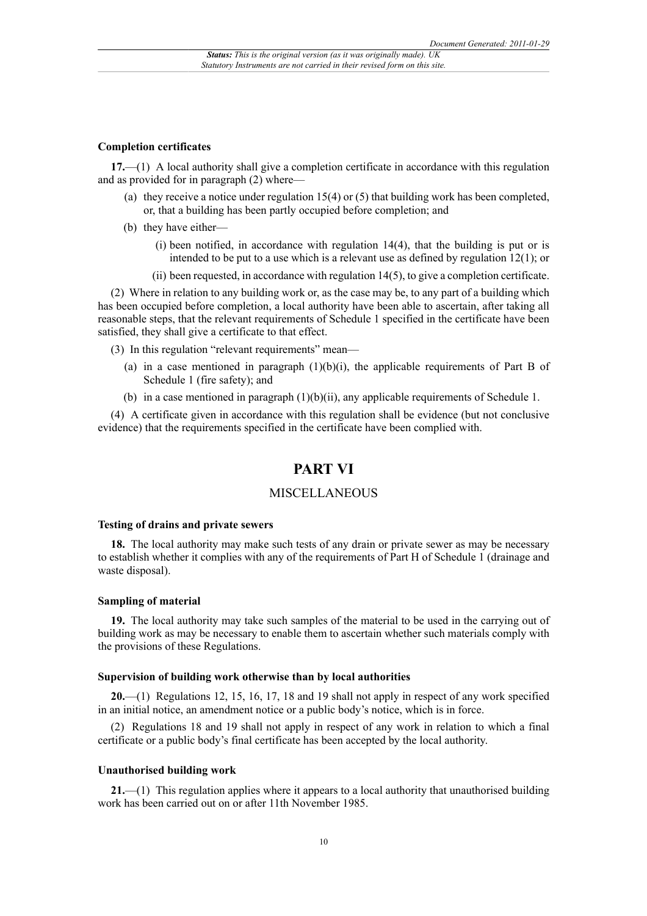#### **Completion certificates**

**17.**—(1) A local authority shall give a completion certificate in accordance with this regulation and as provided for in paragraph (2) where—

- (a) they receive a notice under regulation  $15(4)$  or (5) that building work has been completed, or, that a building has been partly occupied before completion; and
- (b) they have either—
	- (i) been notified, in accordance with regulation 14(4), that the building is put or is intended to be put to a use which is a relevant use as defined by regulation 12(1); or
	- (ii) been requested, in accordance with regulation 14(5), to give a completion certificate.

(2) Where in relation to any building work or, as the case may be, to any part of a building which has been occupied before completion, a local authority have been able to ascertain, after taking all reasonable steps, that the relevant requirements of Schedule 1 specified in the certificate have been satisfied, they shall give a certificate to that effect.

(3) In this regulation "relevant requirements" mean—

- (a) in a case mentioned in paragraph  $(1)(b)(i)$ , the applicable requirements of Part B of Schedule 1 (fire safety); and
- (b) in a case mentioned in paragraph (1)(b)(ii), any applicable requirements of Schedule 1.

(4) A certificate given in accordance with this regulation shall be evidence (but not conclusive evidence) that the requirements specified in the certificate have been complied with.

## **PART VI**

### **MISCELLANEOUS**

#### **Testing of drains and private sewers**

**18.** The local authority may make such tests of any drain or private sewer as may be necessary to establish whether it complies with any of the requirements of Part H of Schedule 1 (drainage and waste disposal).

#### **Sampling of material**

**19.** The local authority may take such samples of the material to be used in the carrying out of building work as may be necessary to enable them to ascertain whether such materials comply with the provisions of these Regulations.

#### **Supervision of building work otherwise than by local authorities**

**20.**—(1) Regulations 12, 15, 16, 17, 18 and 19 shall not apply in respect of any work specified in an initial notice, an amendment notice or a public body's notice, which is in force.

(2) Regulations 18 and 19 shall not apply in respect of any work in relation to which a final certificate or a public body's final certificate has been accepted by the local authority.

#### **Unauthorised building work**

**21.**—(1) This regulation applies where it appears to a local authority that unauthorised building work has been carried out on or after 11th November 1985.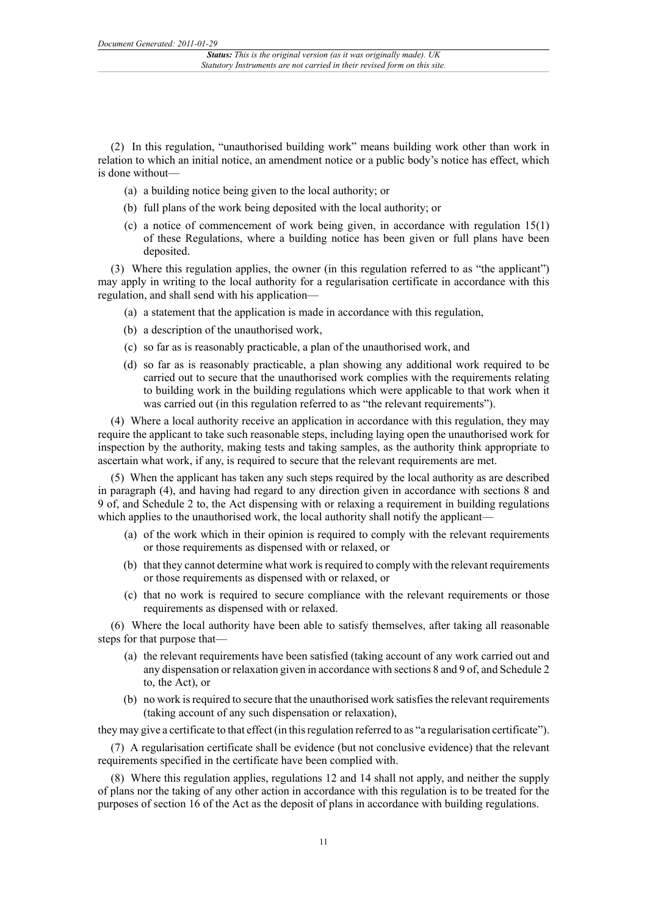(2) In this regulation, "unauthorised building work" means building work other than work in relation to which an initial notice, an amendment notice or a public body's notice has effect, which is done without—

- (a) a building notice being given to the local authority; or
- (b) full plans of the work being deposited with the local authority; or
- (c) a notice of commencement of work being given, in accordance with regulation 15(1) of these Regulations, where a building notice has been given or full plans have been deposited.

(3) Where this regulation applies, the owner (in this regulation referred to as "the applicant") may apply in writing to the local authority for a regularisation certificate in accordance with this regulation, and shall send with his application—

- (a) a statement that the application is made in accordance with this regulation,
- (b) a description of the unauthorised work,
- (c) so far as is reasonably practicable, a plan of the unauthorised work, and
- (d) so far as is reasonably practicable, a plan showing any additional work required to be carried out to secure that the unauthorised work complies with the requirements relating to building work in the building regulations which were applicable to that work when it was carried out (in this regulation referred to as "the relevant requirements").

(4) Where a local authority receive an application in accordance with this regulation, they may require the applicant to take such reasonable steps, including laying open the unauthorised work for inspection by the authority, making tests and taking samples, as the authority think appropriate to ascertain what work, if any, is required to secure that the relevant requirements are met.

(5) When the applicant has taken any such steps required by the local authority as are described in paragraph (4), and having had regard to any direction given in accordance with sections 8 and 9 of, and Schedule 2 to, the Act dispensing with or relaxing a requirement in building regulations which applies to the unauthorised work, the local authority shall notify the applicant—

- (a) of the work which in their opinion is required to comply with the relevant requirements or those requirements as dispensed with or relaxed, or
- (b) that they cannot determine what work is required to comply with the relevant requirements or those requirements as dispensed with or relaxed, or
- (c) that no work is required to secure compliance with the relevant requirements or those requirements as dispensed with or relaxed.

(6) Where the local authority have been able to satisfy themselves, after taking all reasonable steps for that purpose that—

- (a) the relevant requirements have been satisfied (taking account of any work carried out and any dispensation or relaxation given in accordance with sections 8 and 9 of, and Schedule 2 to, the Act), or
- (b) no work is required to secure that the unauthorised work satisfies the relevant requirements (taking account of any such dispensation or relaxation),

they may give a certificate to that effect (in this regulation referred to as "a regularisation certificate").

(7) A regularisation certificate shall be evidence (but not conclusive evidence) that the relevant requirements specified in the certificate have been complied with.

(8) Where this regulation applies, regulations 12 and 14 shall not apply, and neither the supply of plans nor the taking of any other action in accordance with this regulation is to be treated for the purposes of section 16 of the Act as the deposit of plans in accordance with building regulations.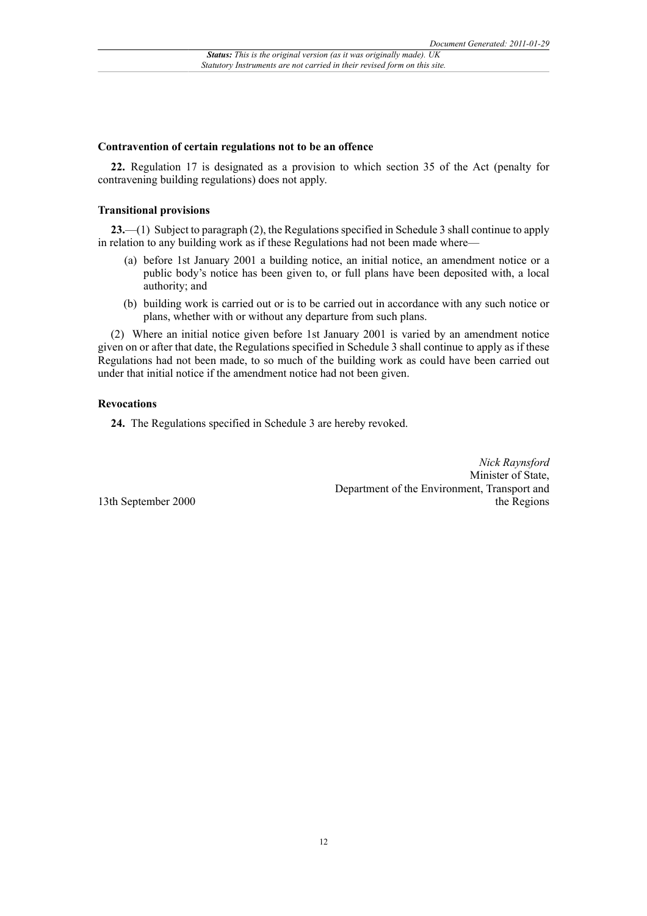#### **Contravention of certain regulations not to be an offence**

**22.** Regulation 17 is designated as a provision to which section 35 of the Act (penalty for contravening building regulations) does not apply.

#### **Transitional provisions**

**23.**—(1) Subject to paragraph (2), the Regulations specified in Schedule 3 shall continue to apply in relation to any building work as if these Regulations had not been made where—

- (a) before 1st January 2001 a building notice, an initial notice, an amendment notice or a public body's notice has been given to, or full plans have been deposited with, a local authority; and
- (b) building work is carried out or is to be carried out in accordance with any such notice or plans, whether with or without any departure from such plans.

(2) Where an initial notice given before 1st January 2001 is varied by an amendment notice given on or after that date, the Regulations specified in Schedule 3 shall continue to apply as if these Regulations had not been made, to so much of the building work as could have been carried out under that initial notice if the amendment notice had not been given.

### **Revocations**

**24.** The Regulations specified in Schedule 3 are hereby revoked.

*Nick Raynsford* Minister of State, Department of the Environment, Transport and the Regions

13th September 2000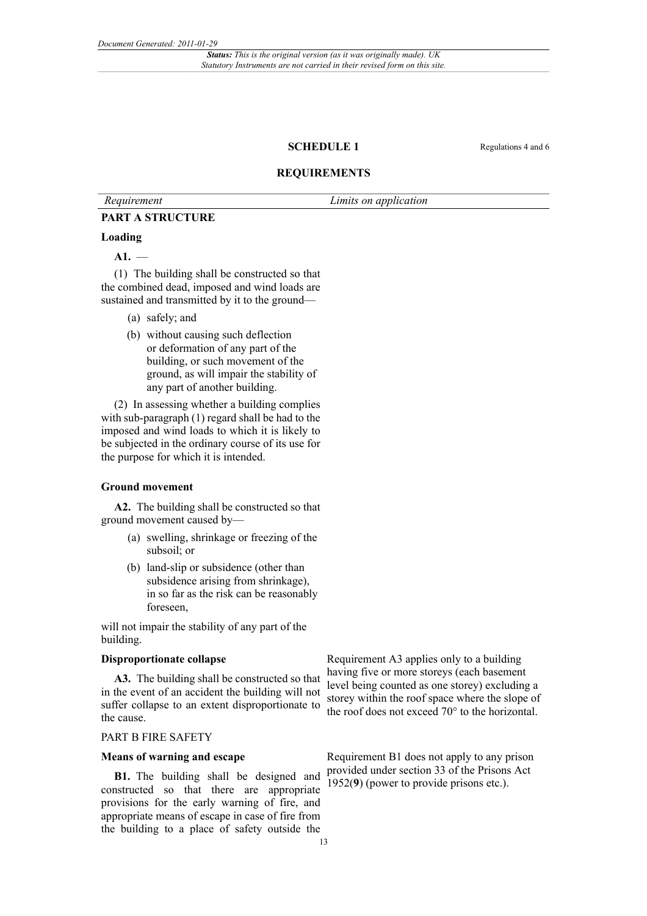#### **SCHEDULE 1** Regulations 4 and 6

### **REQUIREMENTS**

*Requirement Limits on application*

#### **PART A STRUCTURE**

#### **Loading**

**A1.** —

(1) The building shall be constructed so that the combined dead, imposed and wind loads are sustained and transmitted by it to the ground—

- (a) safely; and
- (b) without causing such deflection or deformation of any part of the building, or such movement of the ground, as will impair the stability of any part of another building.

(2) In assessing whether a building complies with sub-paragraph (1) regard shall be had to the imposed and wind loads to which it is likely to be subjected in the ordinary course of its use for the purpose for which it is intended.

#### **Ground movement**

**A2.** The building shall be constructed so that ground movement caused by—

- (a) swelling, shrinkage or freezing of the subsoil; or
- (b) land-slip or subsidence (other than subsidence arising from shrinkage), in so far as the risk can be reasonably foreseen,

will not impair the stability of any part of the building.

#### **Disproportionate collapse**

**A3.** The building shall be constructed so that in the event of an accident the building will not suffer collapse to an extent disproportionate to the cause.

### PART B FIRE SAFETY

#### **Means of warning and escape**

**B1.** The building shall be designed and constructed so that there are appropriate provisions for the early warning of fire, and appropriate means of escape in case of fire from the building to a place of safety outside the

Requirement A3 applies only to a building having five or more storeys (each basement level being counted as one storey) excluding a storey within the roof space where the slope of the roof does not exceed 70° to the horizontal.

Requirement B1 does not apply to any prison provided under section 33 of the Prisons Act 1952(**9**) (power to provide prisons etc.).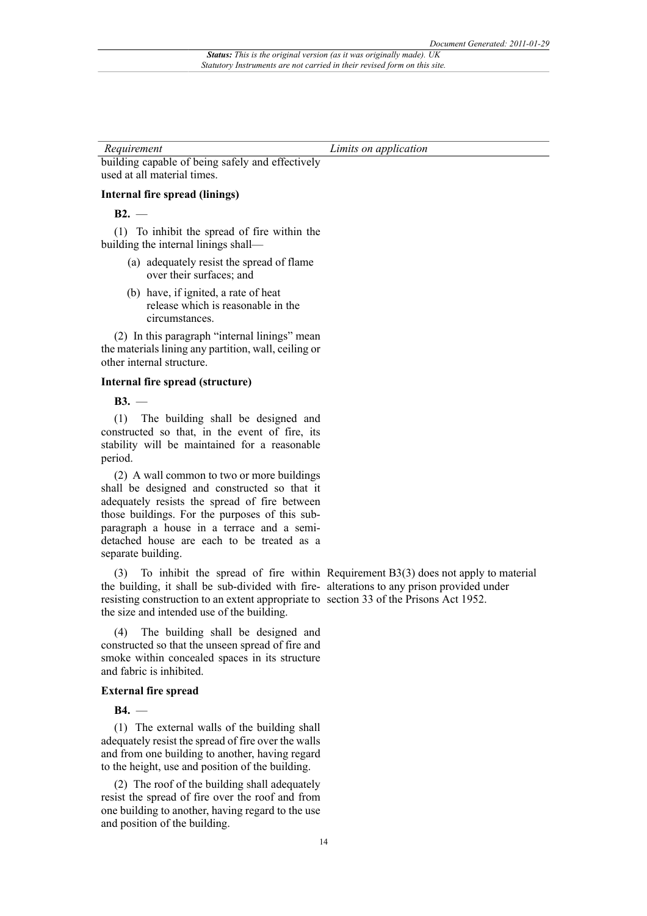building capable of being safely and effectively used at all material times.

#### **Internal fire spread (linings)**

**B2.** —

(1) To inhibit the spread of fire within the building the internal linings shall—

- (a) adequately resist the spread of flame over their surfaces; and
- (b) have, if ignited, a rate of heat release which is reasonable in the circumstances.

(2) In this paragraph "internal linings" mean the materials lining any partition, wall, ceiling or other internal structure.

#### **Internal fire spread (structure)**

**B3.** —

(1) The building shall be designed and constructed so that, in the event of fire, its stability will be maintained for a reasonable period.

(2) A wall common to two or more buildings shall be designed and constructed so that it adequately resists the spread of fire between those buildings. For the purposes of this subparagraph a house in a terrace and a semidetached house are each to be treated as a separate building.

the building, it shall be sub-divided with fire-alterations to any prison provided under resisting construction to an extent appropriate to section 33 of the Prisons Act 1952. the size and intended use of the building.

(4) The building shall be designed and constructed so that the unseen spread of fire and smoke within concealed spaces in its structure and fabric is inhibited.

#### **External fire spread**

**B4.** —

(1) The external walls of the building shall adequately resist the spread of fire over the walls and from one building to another, having regard to the height, use and position of the building.

(2) The roof of the building shall adequately resist the spread of fire over the roof and from one building to another, having regard to the use and position of the building.

(3) To inhibit the spread of fire within Requirement B3(3) does not apply to material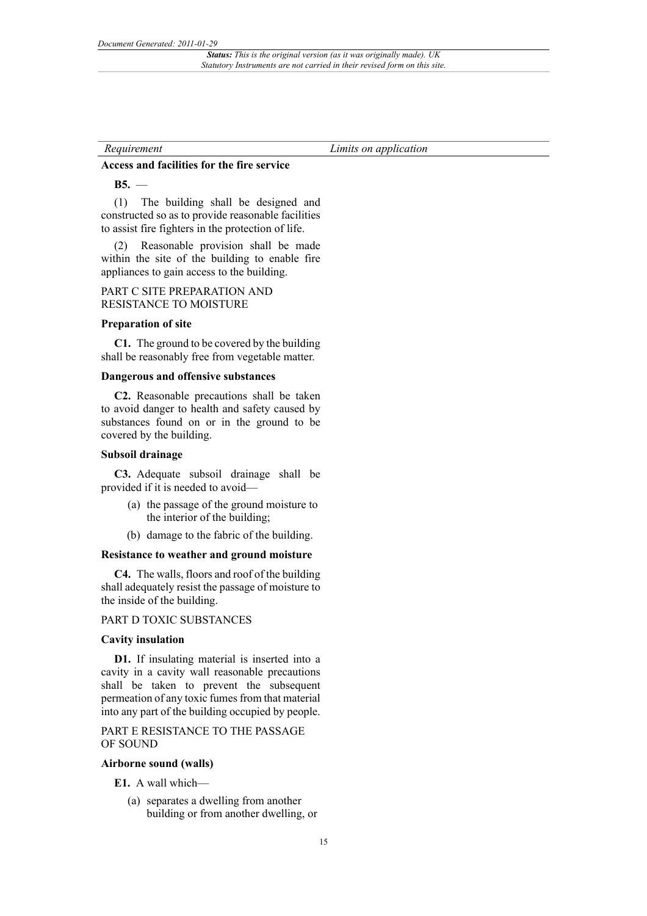#### **Access and facilities for the fire service**

**B5.** —

(1) The building shall be designed and constructed so as to provide reasonable facilities to assist fire fighters in the protection of life.

(2) Reasonable provision shall be made within the site of the building to enable fire appliances to gain access to the building.

#### PART C SITE PREPARATION AND RESISTANCE TO MOISTURE

#### **Preparation of site**

**C1.** The ground to be covered by the building shall be reasonably free from vegetable matter.

#### **Dangerous and offensive substances**

**C2.** Reasonable precautions shall be taken to avoid danger to health and safety caused by substances found on or in the ground to be covered by the building.

#### **Subsoil drainage**

**C3.** Adequate subsoil drainage shall be provided if it is needed to avoid—

- (a) the passage of the ground moisture to the interior of the building;
- (b) damage to the fabric of the building.

#### **Resistance to weather and ground moisture**

**C4.** The walls, floors and roof of the building shall adequately resist the passage of moisture to the inside of the building.

#### PART D TOXIC SUBSTANCES

#### **Cavity insulation**

**D1.** If insulating material is inserted into a cavity in a cavity wall reasonable precautions shall be taken to prevent the subsequent permeation of any toxic fumes from that material into any part of the building occupied by people.

### PART E RESISTANCE TO THE PASSAGE OF SOUND

#### **Airborne sound (walls)**

**E1.** A wall which—

(a) separates a dwelling from another building or from another dwelling, or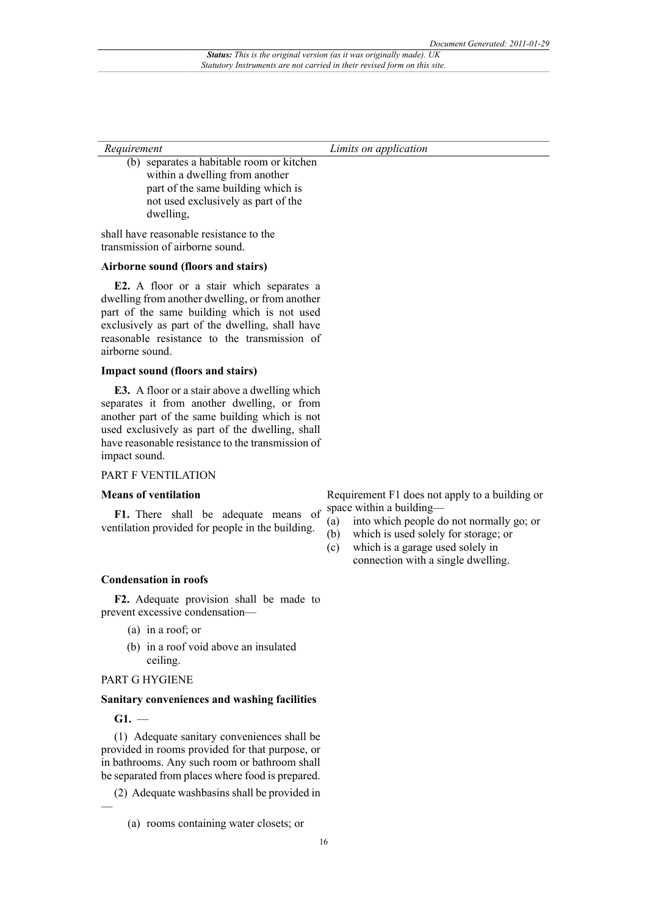(b) separates a habitable room or kitchen within a dwelling from another part of the same building which is not used exclusively as part of the dwelling,

shall have reasonable resistance to the transmission of airborne sound.

#### **Airborne sound (floors and stairs)**

**E2.** A floor or a stair which separates a dwelling from another dwelling, or from another part of the same building which is not used exclusively as part of the dwelling, shall have reasonable resistance to the transmission of airborne sound.

#### **Impact sound (floors and stairs)**

**E3.** A floor or a stair above a dwelling which separates it from another dwelling, or from another part of the same building which is not used exclusively as part of the dwelling, shall have reasonable resistance to the transmission of impact sound.

#### PART F VENTILATION

#### **Means of ventilation**

**F1.** There shall be adequate means of ventilation provided for people in the building.

- Requirement F1 does not apply to a building or space within a building—
- (a) into which people do not normally go; or
- (b) which is used solely for storage; or
- (c) which is a garage used solely in connection with a single dwelling.

#### **Condensation in roofs**

**F2.** Adequate provision shall be made to prevent excessive condensation—

- (a) in a roof; or
- (b) in a roof void above an insulated ceiling.

#### PART G HYGIENE

#### **Sanitary conveniences and washing facilities**

**G1.** —

—

(1) Adequate sanitary conveniences shall be provided in rooms provided for that purpose, or in bathrooms. Any such room or bathroom shall be separated from places where food is prepared.

(2) Adequate washbasins shall be provided in

<sup>(</sup>a) rooms containing water closets; or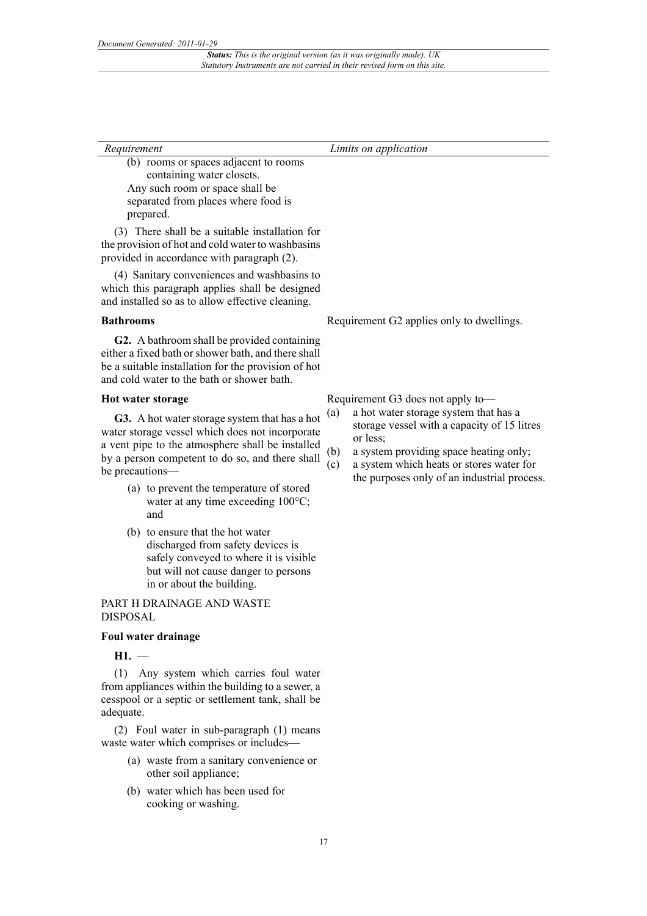| Requirement                           | Limits on application |
|---------------------------------------|-----------------------|
| (b) rooms or spaces adjacent to rooms |                       |

containing water closets. Any such room or space shall be separated from places where food is prepared.

(3) There shall be a suitable installation for the provision of hot and cold water to washbasins provided in accordance with paragraph (2).

(4) Sanitary conveniences and washbasins to which this paragraph applies shall be designed and installed so as to allow effective cleaning.

#### **Bathrooms**

**G2.** A bathroom shall be provided containing either a fixed bath or shower bath, and there shall be a suitable installation for the provision of hot and cold water to the bath or shower bath.

#### **Hot water storage**

**G3.** A hot water storage system that has a hot water storage vessel which does not incorporate a vent pipe to the atmosphere shall be installed by a person competent to do so, and there shall be precautions—

- (a) to prevent the temperature of stored water at any time exceeding  $100^{\circ}$ C; and
- (b) to ensure that the hot water discharged from safety devices is safely conveyed to where it is visible but will not cause danger to persons in or about the building.

PART H DRAINAGE AND WASTE DISPOSAL

#### **Foul water drainage**

**H1.** —

(1) Any system which carries foul water from appliances within the building to a sewer, a cesspool or a septic or settlement tank, shall be adequate.

(2) Foul water in sub-paragraph (1) means waste water which comprises or includes—

- (a) waste from a sanitary convenience or other soil appliance;
- (b) water which has been used for cooking or washing.

Requirement G2 applies only to dwellings.

Requirement G3 does not apply to—

- (a) a hot water storage system that has a storage vessel with a capacity of 15 litres or less;
- (b) a system providing space heating only;
- (c) a system which heats or stores water for the purposes only of an industrial process.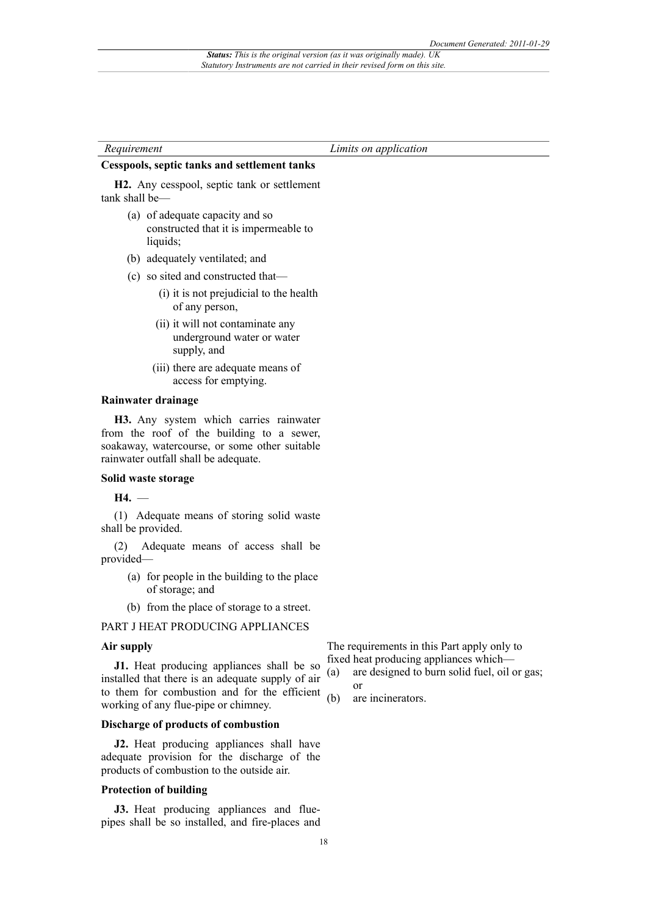#### **Cesspools, septic tanks and settlement tanks**

**H2.** Any cesspool, septic tank or settlement tank shall be—

- (a) of adequate capacity and so constructed that it is impermeable to liquids;
- (b) adequately ventilated; and
- (c) so sited and constructed that—
	- (i) it is not prejudicial to the health of any person,
	- (ii) it will not contaminate any underground water or water supply, and
	- (iii) there are adequate means of access for emptying.

#### **Rainwater drainage**

**H3.** Any system which carries rainwater from the roof of the building to a sewer, soakaway, watercourse, or some other suitable rainwater outfall shall be adequate.

#### **Solid waste storage**

**H4.** —

(1) Adequate means of storing solid waste shall be provided.

(2) Adequate means of access shall be provided—

- (a) for people in the building to the place of storage; and
- (b) from the place of storage to a street.

#### PART J HEAT PRODUCING APPLIANCES

#### **Air supply**

**J1.** Heat producing appliances shall be so installed that there is an adequate supply of air to them for combustion and for the efficient working of any flue-pipe or chimney.

#### **Discharge of products of combustion**

**J2.** Heat producing appliances shall have adequate provision for the discharge of the products of combustion to the outside air.

#### **Protection of building**

**J3.** Heat producing appliances and fluepipes shall be so installed, and fire-places and

The requirements in this Part apply only to fixed heat producing appliances which—

- (a) are designed to burn solid fuel, oil or gas; or
- (b) are incinerators.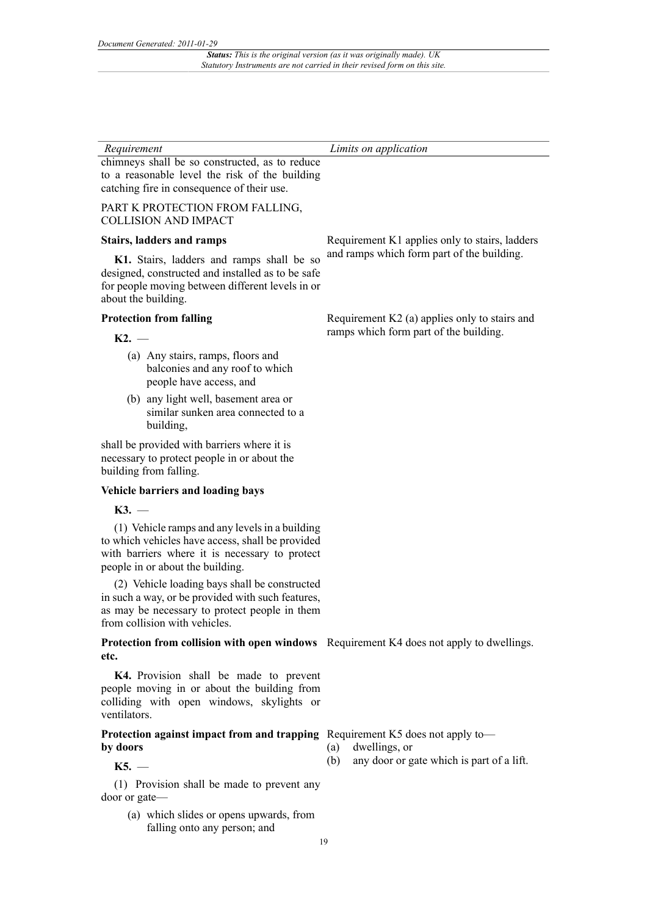chimneys shall be so constructed, as to reduce to a reasonable level the risk of the building catching fire in consequence of their use.

#### PART K PROTECTION FROM FALLING, COLLISION AND IMPACT

#### **Stairs, ladders and ramps**

**K1.** Stairs, ladders and ramps shall be so designed, constructed and installed as to be safe for people moving between different levels in or about the building.

#### **Protection from falling**

#### $K2.$  —

- (a) Any stairs, ramps, floors and balconies and any roof to which people have access, and
- (b) any light well, basement area or similar sunken area connected to a building,

shall be provided with barriers where it is necessary to protect people in or about the building from falling.

#### **Vehicle barriers and loading bays**

**K3.** —

(1) Vehicle ramps and any levels in a building to which vehicles have access, shall be provided with barriers where it is necessary to protect people in or about the building.

(2) Vehicle loading bays shall be constructed in such a way, or be provided with such features, as may be necessary to protect people in them from collision with vehicles.

**Protection from collision with open windows** Requirement K4 does not apply to dwellings. **etc.**

**K4.** Provision shall be made to prevent people moving in or about the building from colliding with open windows, skylights or ventilators.

#### **Protection against impact from and trapping** Requirement K5 does not apply to**by doors**

**K5.** —

(1) Provision shall be made to prevent any door or gate—

> (a) which slides or opens upwards, from falling onto any person; and

Requirement K1 applies only to stairs, ladders and ramps which form part of the building.

Requirement K2 (a) applies only to stairs and ramps which form part of the building.

- (a) dwellings, or
- (b) any door or gate which is part of a lift.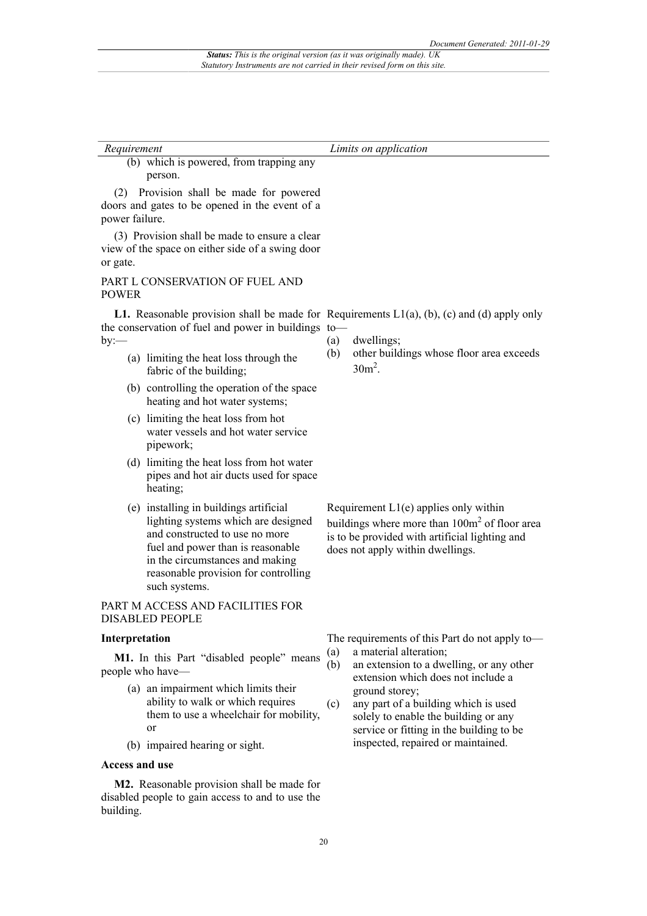(b) which is powered, from trapping any person.

(2) Provision shall be made for powered doors and gates to be opened in the event of a power failure.

(3) Provision shall be made to ensure a clear view of the space on either side of a swing door or gate.

#### PART L CONSERVATION OF FUEL AND POWER

the conservation of fuel and power in buildings to  $by$ : $-$ 

- (a) limiting the heat loss through the fabric of the building;
- (b) controlling the operation of the space heating and hot water systems;
- (c) limiting the heat loss from hot water vessels and hot water service pipework;
- (d) limiting the heat loss from hot water pipes and hot air ducts used for space heating;
- (e) installing in buildings artificial lighting systems which are designed and constructed to use no more fuel and power than is reasonable in the circumstances and making reasonable provision for controlling such systems.

PART M ACCESS AND FACILITIES FOR DISABLED PEOPLE

#### **Interpretation**

M1. In this Part "disabled people" means people who have—

- (a) an impairment which limits their ability to walk or which requires them to use a wheelchair for mobility, or
- (b) impaired hearing or sight.

#### **Access and use**

**M2.** Reasonable provision shall be made for disabled people to gain access to and to use the building.

**L1.** Reasonable provision shall be made for Requirements  $L1(a)$ , (b), (c) and (d) apply only

- (a) dwellings;
- (b) other buildings whose floor area exceeds  $30m^2$ .

Requirement L1(e) applies only within buildings where more than 100m<sup>2</sup> of floor area is to be provided with artificial lighting and does not apply within dwellings.

The requirements of this Part do not apply to—

- (a) a material alteration;
- (b) an extension to a dwelling, or any other extension which does not include a ground storey;
- (c) any part of a building which is used solely to enable the building or any service or fitting in the building to be inspected, repaired or maintained.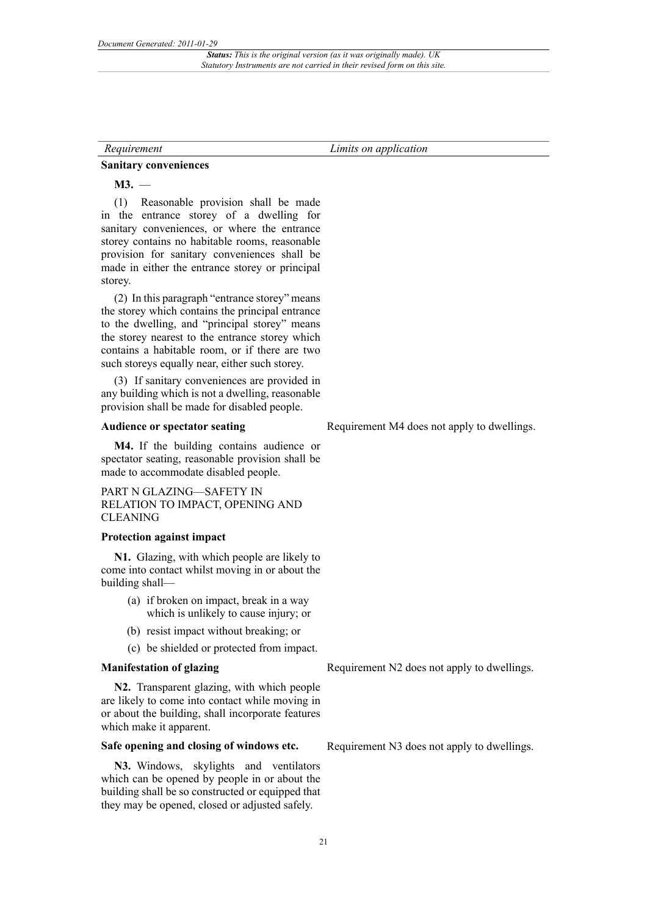#### **Sanitary conveniences**

**M3.** —

(1) Reasonable provision shall be made in the entrance storey of a dwelling for sanitary conveniences, or where the entrance storey contains no habitable rooms, reasonable provision for sanitary conveniences shall be made in either the entrance storey or principal storey.

(2) In this paragraph "entrance storey" means the storey which contains the principal entrance to the dwelling, and "principal storey" means the storey nearest to the entrance storey which contains a habitable room, or if there are two such storeys equally near, either such storey.

(3) If sanitary conveniences are provided in any building which is not a dwelling, reasonable provision shall be made for disabled people.

#### **Audience or spectator seating**

**M4.** If the building contains audience or spectator seating, reasonable provision shall be made to accommodate disabled people.

PART N GLAZING—SAFETY IN RELATION TO IMPACT, OPENING AND CLEANING

#### **Protection against impact**

**N1.** Glazing, with which people are likely to come into contact whilst moving in or about the building shall—

- (a) if broken on impact, break in a way which is unlikely to cause injury; or
- (b) resist impact without breaking; or
- (c) be shielded or protected from impact.

#### **Manifestation of glazing**

**N2.** Transparent glazing, with which people are likely to come into contact while moving in or about the building, shall incorporate features which make it apparent.

### **Safe opening and closing of windows etc.**

**N3.** Windows, skylights and ventilators which can be opened by people in or about the building shall be so constructed or equipped that they may be opened, closed or adjusted safely.

Requirement M4 does not apply to dwellings.

Requirement N2 does not apply to dwellings.

Requirement N3 does not apply to dwellings.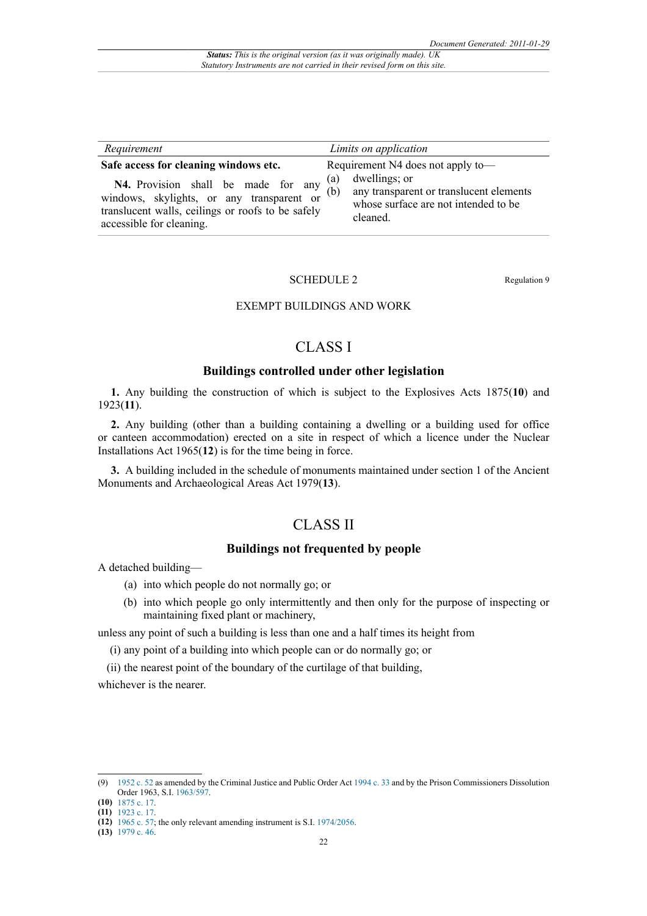| Requirement                                                                                                                                                                                                | Limits on application                                                                                                                                           |
|------------------------------------------------------------------------------------------------------------------------------------------------------------------------------------------------------------|-----------------------------------------------------------------------------------------------------------------------------------------------------------------|
| Safe access for cleaning windows etc.<br>N4. Provision shall be made for any<br>windows, skylights, or any transparent or<br>translucent walls, ceilings or roofs to be safely<br>accessible for cleaning. | Requirement N4 does not apply to-<br>dwellings; or<br>(a)<br>(b)<br>any transparent or translucent elements<br>whose surface are not intended to be<br>cleaned. |

#### SCHEDULE 2 Regulation 9

## EXEMPT BUILDINGS AND WORK

## CLASS I

### **Buildings controlled under other legislation**

**1.** Any building the construction of which is subject to the Explosives Acts 1875(**10**) and 1923(**11**).

**2.** Any building (other than a building containing a dwelling or a building used for office or canteen accommodation) erected on a site in respect of which a licence under the Nuclear Installations Act 1965(**12**) is for the time being in force.

**3.** A building included in the schedule of monuments maintained under section 1 of the Ancient Monuments and Archaeological Areas Act 1979(**13**).

## CLASS II

## **Buildings not frequented by people**

A detached building—

- (a) into which people do not normally go; or
- (b) into which people go only intermittently and then only for the purpose of inspecting or maintaining fixed plant or machinery,

unless any point of such a building is less than one and a half times its height from

- (i) any point of a building into which people can or do normally go; or
- (ii) the nearest point of the boundary of the curtilage of that building,

whichever is the nearer.

<sup>(9)</sup> [1952 c. 52](http://www.legislation.gov.uk/id/ukpga/1952/52) as amended by the Criminal Justice and Public Order Act [1994 c. 33](http://www.legislation.gov.uk/id/ukpga/1994/33) and by the Prison Commissioners Dissolution Order 1963, S.I. [1963/597.](http://www.legislation.gov.uk/id/uksi/1963/597)

**<sup>(10)</sup>** [1875 c. 17.](http://www.legislation.gov.uk/id/ukpga/1875/17)

**<sup>(11)</sup>** [1923 c. 17.](http://www.legislation.gov.uk/id/ukpga/1923/17)

**<sup>(12)</sup>** [1965 c. 57;](http://www.legislation.gov.uk/id/ukpga/1965/57) the only relevant amending instrument is S.I. [1974/2056.](http://www.legislation.gov.uk/id/uksi/1974/2056)

**<sup>(13)</sup>** [1979 c. 46.](http://www.legislation.gov.uk/id/ukpga/1979/46)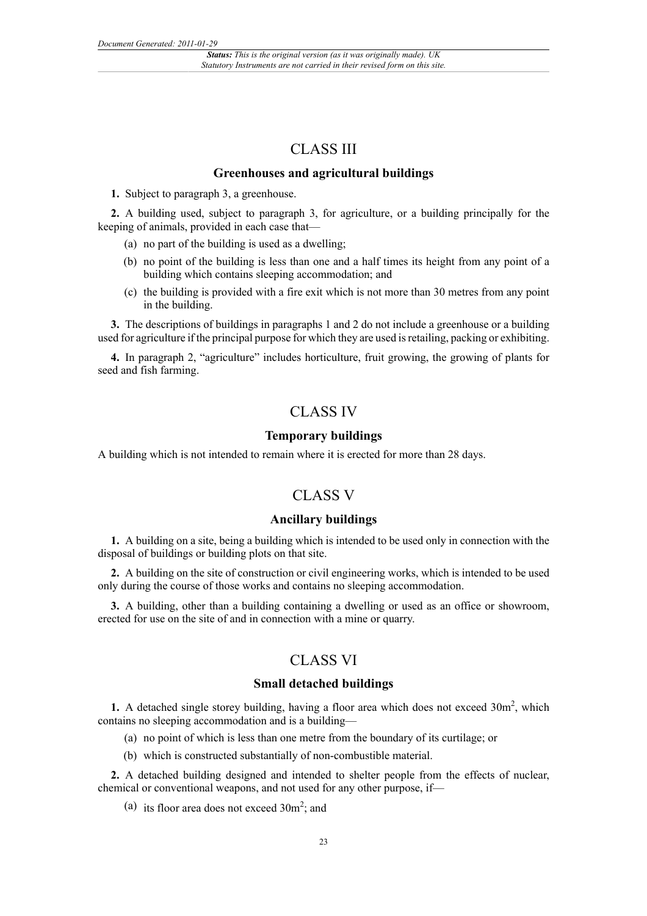## CLASS III

## **Greenhouses and agricultural buildings**

**1.** Subject to paragraph 3, a greenhouse.

**2.** A building used, subject to paragraph 3, for agriculture, or a building principally for the keeping of animals, provided in each case that—

- (a) no part of the building is used as a dwelling;
- (b) no point of the building is less than one and a half times its height from any point of a building which contains sleeping accommodation; and
- (c) the building is provided with a fire exit which is not more than 30 metres from any point in the building.

**3.** The descriptions of buildings in paragraphs 1 and 2 do not include a greenhouse or a building used for agriculture if the principal purpose for which they are used is retailing, packing or exhibiting.

**4.** In paragraph 2, "agriculture" includes horticulture, fruit growing, the growing of plants for seed and fish farming.

## CLASS IV

## **Temporary buildings**

A building which is not intended to remain where it is erected for more than 28 days.

## CLASS V

## **Ancillary buildings**

**1.** A building on a site, being a building which is intended to be used only in connection with the disposal of buildings or building plots on that site.

**2.** A building on the site of construction or civil engineering works, which is intended to be used only during the course of those works and contains no sleeping accommodation.

**3.** A building, other than a building containing a dwelling or used as an office or showroom, erected for use on the site of and in connection with a mine or quarry.

## CLASS VI

#### **Small detached buildings**

1. A detached single storey building, having a floor area which does not exceed 30m<sup>2</sup>, which contains no sleeping accommodation and is a building—

- (a) no point of which is less than one metre from the boundary of its curtilage; or
- (b) which is constructed substantially of non-combustible material.

**2.** A detached building designed and intended to shelter people from the effects of nuclear, chemical or conventional weapons, and not used for any other purpose, if—

(a) its floor area does not exceed  $30m^2$ ; and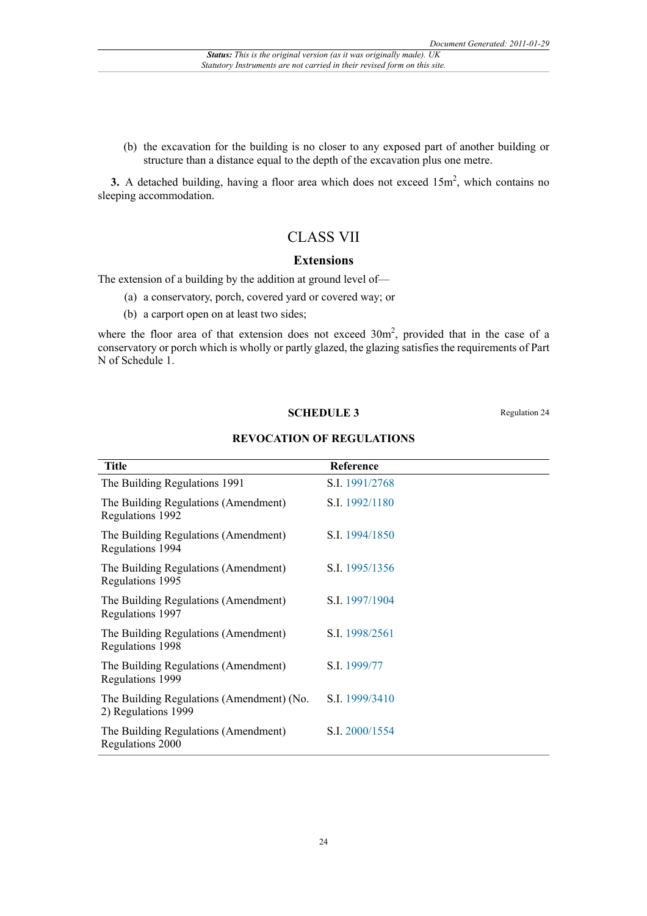(b) the excavation for the building is no closer to any exposed part of another building or structure than a distance equal to the depth of the excavation plus one metre.

**3.** A detached building, having a floor area which does not exceed 15m<sup>2</sup>, which contains no sleeping accommodation.

## CLASS VII

#### **Extensions**

The extension of a building by the addition at ground level of—

- (a) a conservatory, porch, covered yard or covered way; or
- (b) a carport open on at least two sides;

where the floor area of that extension does not exceed  $30m^2$ , provided that in the case of a conservatory or porch which is wholly or partly glazed, the glazing satisfies the requirements of Part N of Schedule 1.

#### **SCHEDULE 3** Regulation 24

#### **REVOCATION OF REGULATIONS**

| <b>Title</b>                                                     | Reference      |
|------------------------------------------------------------------|----------------|
| The Building Regulations 1991                                    | S.I. 1991/2768 |
| The Building Regulations (Amendment)<br>Regulations 1992         | S.I. 1992/1180 |
| The Building Regulations (Amendment)<br>Regulations 1994         | S.I. 1994/1850 |
| The Building Regulations (Amendment)<br>Regulations 1995         | S.I. 1995/1356 |
| The Building Regulations (Amendment)<br>Regulations 1997         | S.I. 1997/1904 |
| The Building Regulations (Amendment)<br>Regulations 1998         | S.I. 1998/2561 |
| The Building Regulations (Amendment)<br>Regulations 1999         | S.I. 1999/77   |
| The Building Regulations (Amendment) (No.<br>2) Regulations 1999 | S.I. 1999/3410 |
| The Building Regulations (Amendment)<br>Regulations 2000         | S.I. 2000/1554 |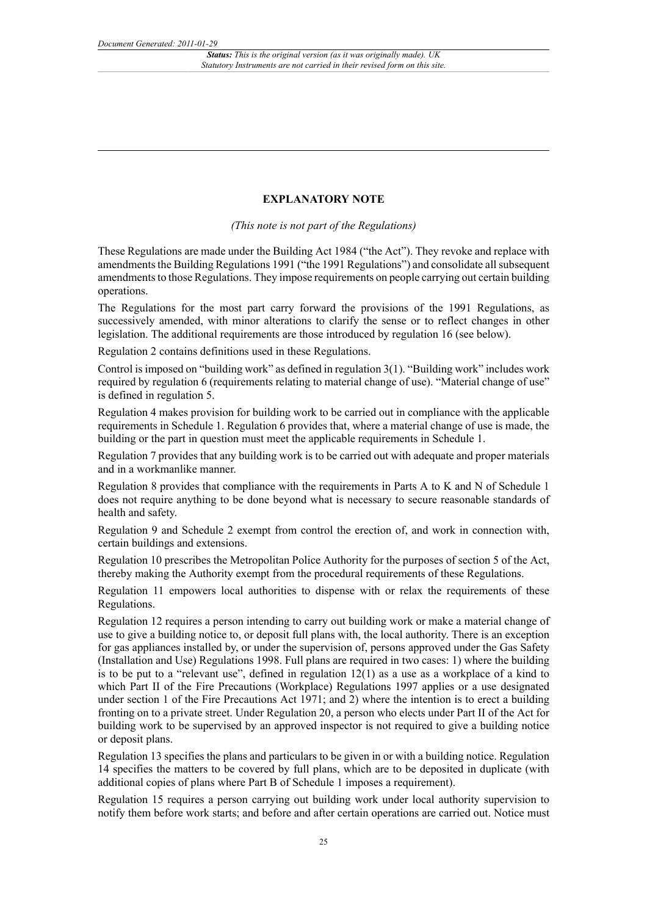## **EXPLANATORY NOTE**

*(This note is not part of the Regulations)*

These Regulations are made under the Building Act 1984 ("the Act"). They revoke and replace with amendments the Building Regulations 1991 ("the 1991 Regulations") and consolidate all subsequent amendments to those Regulations. They impose requirements on people carrying out certain building operations.

The Regulations for the most part carry forward the provisions of the 1991 Regulations, as successively amended, with minor alterations to clarify the sense or to reflect changes in other legislation. The additional requirements are those introduced by regulation 16 (see below).

Regulation 2 contains definitions used in these Regulations.

Control is imposed on "building work" as defined in regulation 3(1). "Building work" includes work required by regulation 6 (requirements relating to material change of use). "Material change of use" is defined in regulation 5.

Regulation 4 makes provision for building work to be carried out in compliance with the applicable requirements in Schedule 1. Regulation 6 provides that, where a material change of use is made, the building or the part in question must meet the applicable requirements in Schedule 1.

Regulation 7 provides that any building work is to be carried out with adequate and proper materials and in a workmanlike manner.

Regulation 8 provides that compliance with the requirements in Parts A to K and N of Schedule 1 does not require anything to be done beyond what is necessary to secure reasonable standards of health and safety.

Regulation 9 and Schedule 2 exempt from control the erection of, and work in connection with, certain buildings and extensions.

Regulation 10 prescribes the Metropolitan Police Authority for the purposes of section 5 of the Act, thereby making the Authority exempt from the procedural requirements of these Regulations.

Regulation 11 empowers local authorities to dispense with or relax the requirements of these Regulations.

Regulation 12 requires a person intending to carry out building work or make a material change of use to give a building notice to, or deposit full plans with, the local authority. There is an exception for gas appliances installed by, or under the supervision of, persons approved under the Gas Safety (Installation and Use) Regulations 1998. Full plans are required in two cases: 1) where the building is to be put to a "relevant use", defined in regulation  $12(1)$  as a use as a workplace of a kind to which Part II of the Fire Precautions (Workplace) Regulations 1997 applies or a use designated under section 1 of the Fire Precautions Act 1971; and 2) where the intention is to erect a building fronting on to a private street. Under Regulation 20, a person who elects under Part II of the Act for building work to be supervised by an approved inspector is not required to give a building notice or deposit plans.

Regulation 13 specifies the plans and particulars to be given in or with a building notice. Regulation 14 specifies the matters to be covered by full plans, which are to be deposited in duplicate (with additional copies of plans where Part B of Schedule 1 imposes a requirement).

Regulation 15 requires a person carrying out building work under local authority supervision to notify them before work starts; and before and after certain operations are carried out. Notice must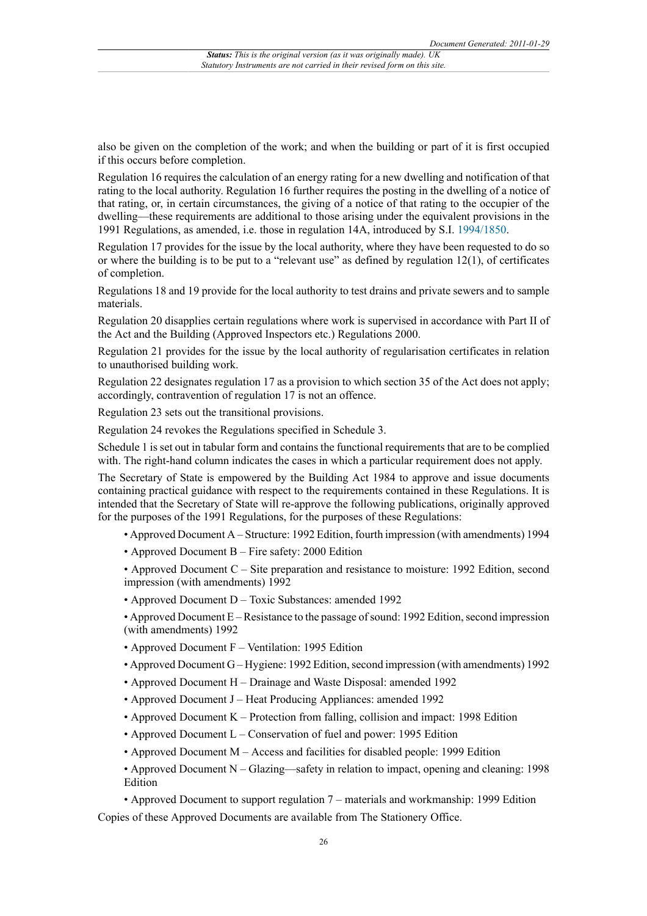also be given on the completion of the work; and when the building or part of it is first occupied if this occurs before completion.

Regulation 16 requires the calculation of an energy rating for a new dwelling and notification of that rating to the local authority. Regulation 16 further requires the posting in the dwelling of a notice of that rating, or, in certain circumstances, the giving of a notice of that rating to the occupier of the dwelling—these requirements are additional to those arising under the equivalent provisions in the 1991 Regulations, as amended, i.e. those in regulation 14A, introduced by S.I. [1994/1850.](http://www.legislation.gov.uk/id/uksi/1994/1850)

Regulation 17 provides for the issue by the local authority, where they have been requested to do so or where the building is to be put to a "relevant use" as defined by regulation 12(1), of certificates of completion.

Regulations 18 and 19 provide for the local authority to test drains and private sewers and to sample materials.

Regulation 20 disapplies certain regulations where work is supervised in accordance with Part II of the Act and the Building (Approved Inspectors etc.) Regulations 2000.

Regulation 21 provides for the issue by the local authority of regularisation certificates in relation to unauthorised building work.

Regulation 22 designates regulation 17 as a provision to which section 35 of the Act does not apply; accordingly, contravention of regulation 17 is not an offence.

Regulation 23 sets out the transitional provisions.

Regulation 24 revokes the Regulations specified in Schedule 3.

Schedule 1 is set out in tabular form and contains the functional requirements that are to be complied with. The right-hand column indicates the cases in which a particular requirement does not apply.

The Secretary of State is empowered by the Building Act 1984 to approve and issue documents containing practical guidance with respect to the requirements contained in these Regulations. It is intended that the Secretary of State will re-approve the following publications, originally approved for the purposes of the 1991 Regulations, for the purposes of these Regulations:

- Approved Document A Structure: 1992 Edition, fourth impression (with amendments) 1994
- Approved Document B Fire safety: 2000 Edition

• Approved Document C – Site preparation and resistance to moisture: 1992 Edition, second impression (with amendments) 1992

• Approved Document D – Toxic Substances: amended 1992

• Approved Document E – Resistance to the passage of sound: 1992 Edition, second impression (with amendments) 1992

- Approved Document F Ventilation: 1995 Edition
- Approved Document G Hygiene: 1992 Edition, second impression (with amendments) 1992
- Approved Document H Drainage and Waste Disposal: amended 1992
- Approved Document J Heat Producing Appliances: amended 1992
- Approved Document K Protection from falling, collision and impact: 1998 Edition
- Approved Document L Conservation of fuel and power: 1995 Edition
- Approved Document M Access and facilities for disabled people: 1999 Edition

• Approved Document N – Glazing—safety in relation to impact, opening and cleaning: 1998 Edition

• Approved Document to support regulation 7 – materials and workmanship: 1999 Edition Copies of these Approved Documents are available from The Stationery Office.